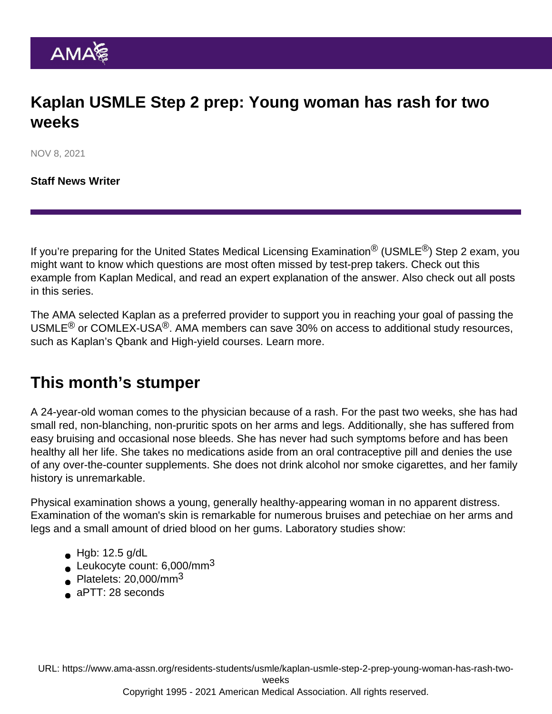# Kaplan USMLE Step 2 prep: Young woman has rash for two weeks

NOV 8, 2021

[Staff News Writer](https://www.ama-assn.org/news-leadership-viewpoints/authors-news-leadership-viewpoints/staff-news-writer)

If you're preparing for the United States Medical Licensing Examination<sup>®</sup> (USMLE<sup>®</sup>) Step 2 exam, you might want to know which questions are most often missed by test-prep takers. Check out this example from Kaplan Medical, and read an expert explanation of the answer. Also check out [all posts](https://www.ama-assn.org/residents-students/usmle) [in this series.](https://www.ama-assn.org/residents-students/usmle)

The AMA selected Kaplan as a preferred provider to support you in reaching your goal of passing the USMLE<sup>®</sup> or COMLEX-USA<sup>®</sup>. AMA members can save 30% on access to additional study resources, such as Kaplan's Qbank and High-yield courses. [Learn more.](https://www.ama-assn.org/ama-member-benefits/individual-member-benefits/educational-student-discounts)

### This month's stumper

A 24-year-old woman comes to the physician because of a rash. For the past two weeks, she has had small red, non-blanching, non-pruritic spots on her arms and legs. Additionally, she has suffered from easy bruising and occasional nose bleeds. She has never had such symptoms before and has been healthy all her life. She takes no medications aside from an oral contraceptive pill and denies the use of any over-the-counter supplements. She does not drink alcohol nor smoke cigarettes, and her family history is unremarkable.

Physical examination shows a young, generally healthy-appearing woman in no apparent distress. Examination of the woman's skin is remarkable for numerous bruises and petechiae on her arms and legs and a small amount of dried blood on her gums. Laboratory studies show:

- $\bullet$  Hgb: 12.5 g/dL
- Leukocyte count:  $6,000/\text{mm}^3$
- Platelets:  $20,000/\text{mm}^3$
- aPTT: 28 seconds

URL: [https://www.ama-assn.org/residents-students/usmle/kaplan-usmle-step-2-prep-young-woman-has-rash-two-](https://www.ama-assn.org/residents-students/usmle/kaplan-usmle-step-2-prep-young-woman-has-rash-two-weeks)

[weeks](https://www.ama-assn.org/residents-students/usmle/kaplan-usmle-step-2-prep-young-woman-has-rash-two-weeks)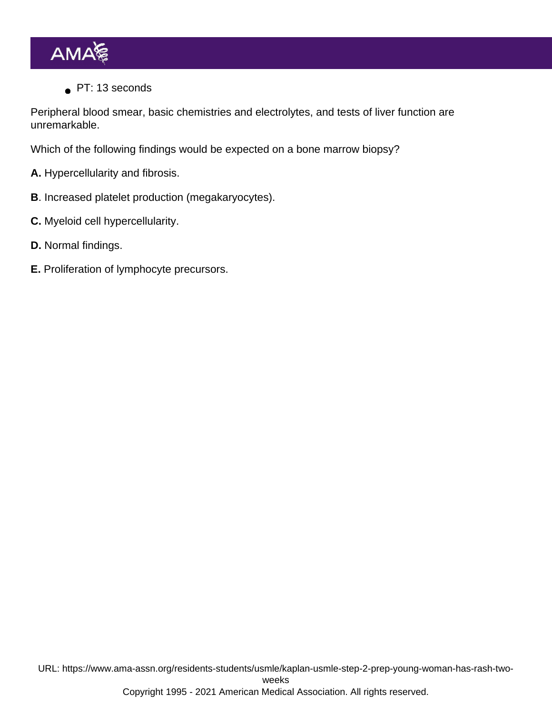PT: 13 seconds

Peripheral blood smear, basic chemistries and electrolytes, and tests of liver function are unremarkable.

Which of the following findings would be expected on a bone marrow biopsy?

- A. Hypercellularity and fibrosis.
- B. Increased platelet production (megakaryocytes).
- C. Myeloid cell hypercellularity.
- D. Normal findings.
- E. Proliferation of lymphocyte precursors.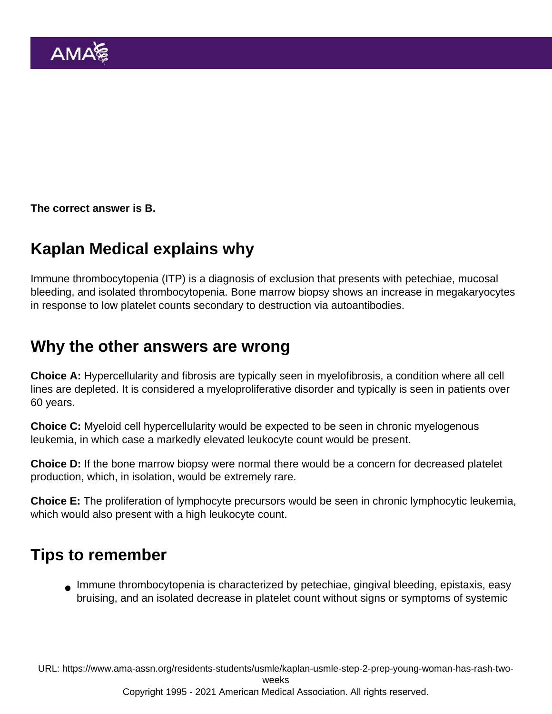The correct answer is B.

# Kaplan Medical explains why

Immune thrombocytopenia (ITP) is a diagnosis of exclusion that presents with petechiae, mucosal bleeding, and isolated thrombocytopenia. Bone marrow biopsy shows an increase in megakaryocytes in response to low platelet counts secondary to destruction via autoantibodies.

#### Why the other answers are wrong

Choice A: Hypercellularity and fibrosis are typically seen in myelofibrosis, a condition where all cell lines are depleted. It is considered a myeloproliferative disorder and typically is seen in patients over 60 years.

Choice C: Myeloid cell hypercellularity would be expected to be seen in chronic myelogenous leukemia, in which case a markedly elevated leukocyte count would be present.

Choice D: If the bone marrow biopsy were normal there would be a concern for decreased platelet production, which, in isolation, would be extremely rare.

Choice E: The proliferation of lymphocyte precursors would be seen in chronic lymphocytic leukemia, which would also present with a high leukocyte count.

#### Tips to remember

Immune thrombocytopenia is characterized by petechiae, gingival bleeding, epistaxis, easy bruising, and an isolated decrease in platelet count without signs or symptoms of systemic

URL: [https://www.ama-assn.org/residents-students/usmle/kaplan-usmle-step-2-prep-young-woman-has-rash-two-](https://www.ama-assn.org/residents-students/usmle/kaplan-usmle-step-2-prep-young-woman-has-rash-two-weeks)

[weeks](https://www.ama-assn.org/residents-students/usmle/kaplan-usmle-step-2-prep-young-woman-has-rash-two-weeks)